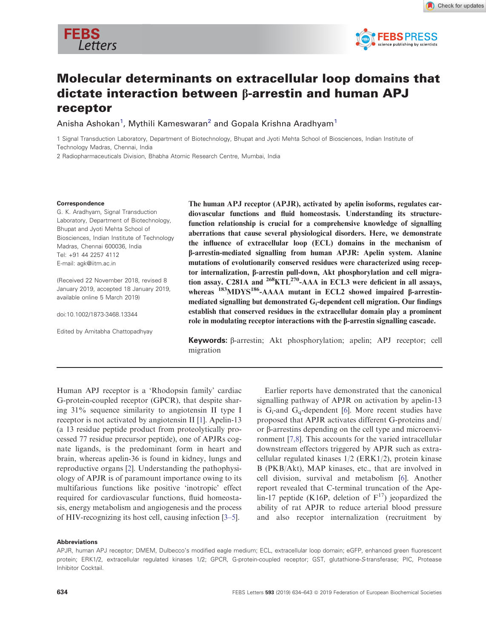



# Molecular determinants on extracellular loop domains that dictate interaction between b-arrestin and human APJ receptor

Anisha Ashokan<sup>1</sup>, Mythili Kameswaran<sup>2</sup> and Gopala Krishna Aradhyam<sup>1</sup>

1 Signal Transduction Laboratory, Department of Biotechnology, Bhupat and Jyoti Mehta School of Biosciences, Indian Institute of Technology Madras, Chennai, India

2 Radiopharmaceuticals Division, Bhabha Atomic Research Centre, Mumbai, India

#### Correspondence

G. K. Aradhyam, Signal Transduction Laboratory, Department of Biotechnology, Bhupat and Jyoti Mehta School of Biosciences, Indian Institute of Technology Madras, Chennai 600036, India Tel: +91 44 2257 4112 E-mail: agk@iitm.ac.in

(Received 22 November 2018, revised 8 January 2019, accepted 18 January 2019, available online 5 March 2019)

doi:10.1002/1873-3468.13344

Edited by Amitabha Chattopadhyay

The human APJ receptor (APJR), activated by apelin isoforms, regulates cardiovascular functions and fluid homeostasis. Understanding its structurefunction relationship is crucial for a comprehensive knowledge of signalling aberrations that cause several physiological disorders. Here, we demonstrate the influence of extracellular loop (ECL) domains in the mechanism of b-arrestin-mediated signalling from human APJR: Apelin system. Alanine mutations of evolutionarily conserved residues were characterized using receptor internalization, b-arrestin pull-down, Akt phosphorylation and cell migration assay. C281A and <sup>268</sup>KTL<sup>270</sup>-AAA in ECL3 were deficient in all assays, whereas  $^{183}$ MDYS<sup>186</sup>-AAAA mutant in ECL2 showed impaired  $\beta$ -arrestinmediated signalling but demonstrated G<sup>i</sup> -dependent cell migration. Our findings establish that conserved residues in the extracellular domain play a prominent role in modulating receptor interactions with the  $\beta$ -arrestin signalling cascade.

Keywords:  $\beta$ -arrestin; Akt phosphorylation; apelin; APJ receptor; cell migration

Human APJ receptor is a 'Rhodopsin family' cardiac G-protein-coupled receptor (GPCR), that despite sharing 31% sequence similarity to angiotensin II type I receptor is not activated by angiotensin II [1]. Apelin-13 (a 13 residue peptide product from proteolytically processed 77 residue precursor peptide), one of APJRs cognate ligands, is the predominant form in heart and brain, whereas apelin-36 is found in kidney, lungs and reproductive organs [2]. Understanding the pathophysiology of APJR is of paramount importance owing to its multifarious functions like positive 'inotropic' effect required for cardiovascular functions, fluid homeostasis, energy metabolism and angiogenesis and the process of HIV-recognizing its host cell, causing infection [3–5].

Earlier reports have demonstrated that the canonical signalling pathway of APJR on activation by apelin-13 is  $G_i$ -and  $G_q$ -dependent [6]. More recent studies have proposed that APJR activates different G-proteins and/ or  $\beta$ -arrestins depending on the cell type and microenvironment [7,8]. This accounts for the varied intracellular downstream effectors triggered by APJR such as extracellular regulated kinases 1/2 (ERK1/2), protein kinase B (PKB/Akt), MAP kinases, etc., that are involved in cell division, survival and metabolism [6]. Another report revealed that C-terminal truncation of the Apelin-17 peptide (K16P, deletion of  $F^{17}$ ) jeopardized the ability of rat APJR to reduce arterial blood pressure and also receptor internalization (recruitment by

#### Abbreviations

APJR, human APJ receptor; DMEM, Dulbecco's modified eagle medium; ECL, extracellular loop domain; eGFP, enhanced green fluorescent protein; ERK1/2, extracellular regulated kinases 1/2; GPCR, G-protein-coupled receptor; GST, glutathione-S-transferase; PIC, Protease Inhibitor Cocktail.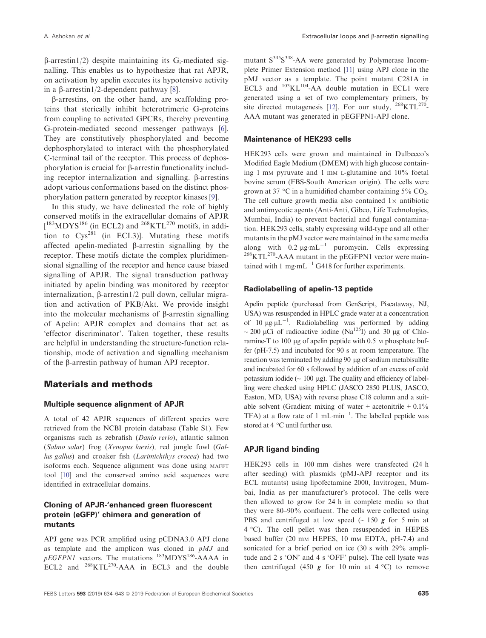$\beta$ -arrestin1/2) despite maintaining its G<sub>i</sub>-mediated signalling. This enables us to hypothesize that rat APJR, on activation by apelin executes its hypotensive activity in a  $\beta$ -arrestin1/2-dependent pathway [8].

b-arrestins, on the other hand, are scaffolding proteins that sterically inhibit heterotrimeric G-proteins from coupling to activated GPCRs, thereby preventing G-protein-mediated second messenger pathways [6]. They are constitutively phosphorylated and become dephosphorylated to interact with the phosphorylated C-terminal tail of the receptor. This process of dephosphorylation is crucial for b-arrestin functionality including receptor internalization and signalling.  $\beta$ -arrestins adopt various conformations based on the distinct phosphorylation pattern generated by receptor kinases [9].

In this study, we have delineated the role of highly conserved motifs in the extracellular domains of APJR  $[183 \text{MDYS}^{186}$  (in ECL2) and  $268 \text{KTL}^{270}$  motifs, in addition to  $Cys^{281}$  (in ECL3)]. Mutating these motifs affected apelin-mediated  $\beta$ -arrestin signalling by the receptor. These motifs dictate the complex pluridimensional signalling of the receptor and hence cause biased signalling of APJR. The signal transduction pathway initiated by apelin binding was monitored by receptor internalization,  $\beta$ -arrestin1/2 pull down, cellular migration and activation of PKB/Akt. We provide insight into the molecular mechanisms of  $\beta$ -arrestin signalling of Apelin: APJR complex and domains that act as 'effector discriminator'. Taken together, these results are helpful in understanding the structure-function relationship, mode of activation and signalling mechanism of the b-arrestin pathway of human APJ receptor.

### Materials and methods

### Multiple sequence alignment of APJR

A total of 42 APJR sequences of different species were retrieved from the NCBI protein database (Table S1). Few organisms such as zebrafish (Danio rerio), atlantic salmon (Salmo salar) frog (Xenopus laevis), red jungle fowl (Gallus gallus) and croaker fish (Larimichthys crocea) had two isoforms each. Sequence alignment was done using MAFFT tool [10] and the conserved amino acid sequences were identified in extracellular domains.

### Cloning of APJR-'enhanced green fluorescent protein (eGFP)' chimera and generation of mutants

APJ gene was PCR amplified using pCDNA3.0 APJ clone as template and the amplicon was cloned in  $p$ MJ and  $pEGFPN1$  vectors. The mutations  $^{183}$ MDYS<sup>186</sup>-AAAA in ECL2 and <sup>268</sup>KTL<sup>270</sup>-AAA in ECL3 and the double

mutant S<sup>345</sup>S<sup>348</sup>-AA were generated by Polymerase Incomplete Primer Extension method [11] using APJ clone in the pMJ vector as a template. The point mutant C281A in ECL3 and  $^{103}KL^{104}$ -AA double mutation in ECL1 were generated using a set of two complementary primers, by site directed mutagenesis [12]. For our study,  $^{268}$ KTL<sup>270</sup>-AAA mutant was generated in pEGFPN1-APJ clone.

### Maintenance of HEK293 cells

HEK293 cells were grown and maintained in Dulbecco's Modified Eagle Medium (DMEM) with high glucose containing 1 m<sup>M</sup> pyruvate and 1 mM L-glutamine and 10% foetal bovine serum (FBS-South American origin). The cells were grown at 37 °C in a humidified chamber containing  $5\%$  CO<sub>2</sub>. The cell culture growth media also contained  $1\times$  antibiotic and antimycotic agents (Anti-Anti, Gibco, Life Technologies, Mumbai, India) to prevent bacterial and fungal contamination. HEK293 cells, stably expressing wild-type and all other mutants in the pMJ vector were maintained in the same media along with  $0.2 \mu g \cdot mL^{-1}$  puromycin. Cells expressing  $268$ KTL<sup>270</sup>-AAA mutant in the pEGFPN1 vector were maintained with 1 mg·mL<sup>-1</sup> G418 for further experiments.

#### Radiolabelling of apelin-13 peptide

Apelin peptide (purchased from GenScript, Piscataway, NJ, USA) was resuspended in HPLC grade water at a concentration of 10  $\mu$ g· $\mu$ L<sup>-1</sup>. Radiolabelling was performed by adding ~ 200 µCi of radioactive iodine (Na<sup>125</sup>I) and 30 µg of Chloramine-T to 100 µg of apelin peptide with 0.5 M phosphate buffer (pH-7.5) and incubated for 90 s at room temperature. The reaction was terminated by adding 90 µg of sodium metabisulfite and incubated for 60 s followed by addition of an excess of cold potassium iodide ( $\sim 100 \mu$ g). The quality and efficiency of labelling were checked using HPLC (JASCO 2850 PLUS, JASCO, Easton, MD, USA) with reverse phase C18 column and a suitable solvent (Gradient mixing of water + acetonitrile +  $0.1\%$ TFA) at a flow rate of  $1 \text{ mL-min}^{-1}$ . The labelled peptide was stored at 4 °C until further use.

### APJR ligand binding

HEK293 cells in 100 mm dishes were transfected (24 h after seeding) with plasmids (pMJ-APJ receptor and its ECL mutants) using lipofectamine 2000, Invitrogen, Mumbai, India as per manufacturer's protocol. The cells were then allowed to grow for 24 h in complete media so that they were 80–90% confluent. The cells were collected using PBS and centrifuged at low speed  $(~150 g$  for 5 min at 4 °C). The cell pellet was then resuspended in HEPES based buffer (20 mm HEPES, 10 mm EDTA, pH-7.4) and sonicated for a brief period on ice (30 s with 29% amplitude and 2 s 'ON' and 4 s 'OFF' pulse). The cell lysate was then centrifuged (450  $g$  for 10 min at 4 °C) to remove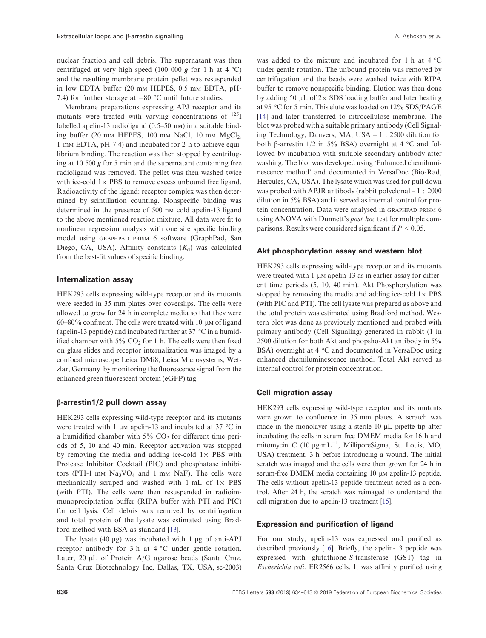nuclear fraction and cell debris. The supernatant was then centrifuged at very high speed (100 000  $g$  for 1 h at 4 °C) and the resulting membrane protein pellet was resuspended in low EDTA buffer (20 mm HEPES, 0.5 mm EDTA, pH-7.4) for further storage at  $-80$  °C until future studies.

Membrane preparations expressing APJ receptor and its mutants were treated with varying concentrations of  $^{125}I$ labelled apelin-13 radioligand  $(0.5-50 \text{ nm})$  in a suitable binding buffer (20 mm HEPES, 100 mm NaCl, 10 mm  $MgCl<sub>2</sub>$ , 1 m<sup>M</sup> EDTA, pH-7.4) and incubated for 2 h to achieve equilibrium binding. The reaction was then stopped by centrifuging at 10 500  $g$  for 5 min and the supernatant containing free radioligand was removed. The pellet was then washed twice with ice-cold  $1\times$  PBS to remove excess unbound free ligand. Radioactivity of the ligand: receptor complex was then determined by scintillation counting. Nonspecific binding was determined in the presence of 500 nm cold apelin-13 ligand to the above mentioned reaction mixture. All data were fit to nonlinear regression analysis with one site specific binding model using GRAPHPAD PRISM 6 software (GraphPad, San Diego, CA, USA). Affinity constants  $(K_d)$  was calculated from the best-fit values of specific binding.

#### Internalization assay

HEK293 cells expressing wild-type receptor and its mutants were seeded in 35 mm plates over coverslips. The cells were allowed to grow for 24 h in complete media so that they were 60–80% confluent. The cells were treated with 10  $\mu$ M of ligand (apelin-13 peptide) and incubated further at 37  $\degree$ C in a humidified chamber with  $5\%$  CO<sub>2</sub> for 1 h. The cells were then fixed on glass slides and receptor internalization was imaged by a confocal microscope Leica DMi8, Leica Microsystems, Wetzlar, Germany by monitoring the fluorescence signal from the enhanced green fluorescent protein (eGFP) tag.

### b-arrestin1/2 pull down assay

HEK293 cells expressing wild-type receptor and its mutants were treated with 1  $\mu$ m apelin-13 and incubated at 37 °C in a humidified chamber with  $5\%$  CO<sub>2</sub> for different time periods of 5, 10 and 40 min. Receptor activation was stopped by removing the media and adding ice-cold  $1 \times$  PBS with Protease Inhibitor Cocktail (PIC) and phosphatase inhibitors (PTI-1 mm  $Na<sub>3</sub>VO<sub>4</sub>$  and 1 mm NaF). The cells were mechanically scraped and washed with  $1 \text{ mL of } 1 \times PBS$ (with PTI). The cells were then resuspended in radioimmunoprecipitation buffer (RIPA buffer with PTI and PIC) for cell lysis. Cell debris was removed by centrifugation and total protein of the lysate was estimated using Bradford method with BSA as standard [13].

The lysate  $(40 \mu g)$  was incubated with 1  $\mu g$  of anti-APJ receptor antibody for 3 h at 4 °C under gentle rotation. Later,  $20 \mu L$  of Protein A/G agarose beads (Santa Cruz, Santa Cruz Biotechnology Inc, Dallas, TX, USA, sc-2003)

was added to the mixture and incubated for 1 h at 4 °C under gentle rotation. The unbound protein was removed by centrifugation and the beads were washed twice with RIPA buffer to remove nonspecific binding. Elution was then done by adding 50  $\mu$ L of 2 $\times$  SDS loading buffer and later heating at 95 °C for 5 min. This elute was loaded on 12% SDS/PAGE [14] and later transferred to nitrocellulose membrane. The blot was probed with a suitable primary antibody (Cell Signaling Technology, Danvers, MA, USA – 1 : 2500 dilution for both  $\beta$ -arrestin 1/2 in 5% BSA) overnight at 4 °C and followed by incubation with suitable secondary antibody after washing. The blot was developed using 'Enhanced chemiluminescence method' and documented in VersaDoc (Bio-Rad, Hercules, CA, USA). The lysate which was used for pull down was probed with APJR antibody (rabbit polyclonal – 1 : 2000 dilution in 5% BSA) and it served as internal control for protein concentration. Data were analysed in GRAPHPAD PRISM 6 using ANOVA with Dunnett's *post hoc* test for multiple comparisons. Results were considered significant if  $P < 0.05$ .

#### Akt phosphorylation assay and western blot

HEK293 cells expressing wild-type receptor and its mutants were treated with  $1 \mu$ M apelin-13 as in earlier assay for different time periods (5, 10, 40 min). Akt Phosphorylation was stopped by removing the media and adding ice-cold  $1 \times PBS$ (with PIC and PTI). The cell lysate was prepared as above and the total protein was estimated using Bradford method. Western blot was done as previously mentioned and probed with primary antibody (Cell Signaling) generated in rabbit (1 in 2500 dilution for both Akt and phopsho-Akt antibody in 5% BSA) overnight at 4 °C and documented in VersaDoc using enhanced chemiluminescence method. Total Akt served as internal control for protein concentration.

#### Cell migration assay

HEK293 cells expressing wild-type receptor and its mutants were grown to confluence in 35 mm plates. A scratch was made in the monolayer using a sterile  $10 \mu L$  pipette tip after incubating the cells in serum free DMEM media for 16 h and mitomycin C (10  $\mu$ g·mL<sup>-1</sup>, MilliporeSigma, St. Louis, MO, USA) treatment, 3 h before introducing a wound. The initial scratch was imaged and the cells were then grown for 24 h in serum-free DMEM media containing 10  $\mu$ M apelin-13 peptide. The cells without apelin-13 peptide treatment acted as a control. After 24 h, the scratch was reimaged to understand the cell migration due to apelin-13 treatment [15].

### Expression and purification of ligand

For our study, apelin-13 was expressed and purified as described previously [16]. Briefly, the apelin-13 peptide was expressed with glutathione-S-transferase (GST) tag in Escherichia coli. ER2566 cells. It was affinity purified using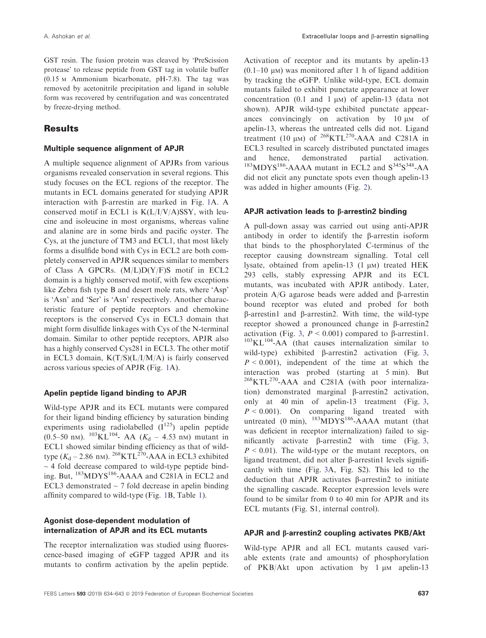GST resin. The fusion protein was cleaved by 'PreScission protease' to release peptide from GST tag in volatile buffer (0.15 <sup>M</sup> Ammonium bicarbonate, pH-7.8). The tag was removed by acetonitrile precipitation and ligand in soluble form was recovered by centrifugation and was concentrated by freeze-drying method.

# **Results**

### Multiple sequence alignment of APJR

A multiple sequence alignment of APJRs from various organisms revealed conservation in several regions. This study focuses on the ECL regions of the receptor. The mutants in ECL domains generated for studying APJR interaction with  $\beta$ -arrestin are marked in Fig. 1A. A conserved motif in ECL1 is  $K(L/I/V/A)$ SSY, with leucine and isoleucine in most organisms, whereas valine and alanine are in some birds and pacific oyster. The Cys, at the juncture of TM3 and ECL1, that most likely forms a disulfide bond with Cys in ECL2 are both completely conserved in APJR sequences similar to members of Class A GPCRs. (M/L)D(Y/F)S motif in ECL2 domain is a highly conserved motif, with few exceptions like Zebra fish type B and desert mole rats, where 'Asp' is 'Asn' and 'Ser' is 'Asn' respectively. Another characteristic feature of peptide receptors and chemokine receptors is the conserved Cys in ECL3 domain that might form disulfide linkages with Cys of the N-terminal domain. Similar to other peptide receptors, APJR also has a highly conserved Cys281 in ECL3. The other motif in ECL3 domain,  $K(T/S)(L/I/M/A)$  is fairly conserved across various species of APJR (Fig. 1A).

### Apelin peptide ligand binding to APJR

Wild-type APJR and its ECL mutants were compared for their ligand binding efficiency by saturation binding experiments using radiolabelled  $(I^{125})$  apelin peptide  $(0.5-50 \text{ nm})$ . <sup>103</sup>KL<sup>104</sup>- AA (K<sub>d</sub> – 4.53 nm) mutant in ECL1 showed similar binding efficiency as that of wildtype  $(K_d - 2.86 \text{ nm})$ . <sup>268</sup>KTL<sup>270</sup>-AAA in ECL3 exhibited  $\sim$  4 fold decrease compared to wild-type peptide binding. But, <sup>183</sup>MDYS186-AAAA and C281A in ECL2 and ECL3 demonstrated  $\sim$  7 fold decrease in apelin binding affinity compared to wild-type (Fig. 1B, Table 1).

### Agonist dose-dependent modulation of internalization of APJR and its ECL mutants

The receptor internalization was studied using fluorescence-based imaging of eGFP tagged APJR and its mutants to confirm activation by the apelin peptide. Activation of receptor and its mutants by apelin-13  $(0.1-10 \mu)$  was monitored after 1 h of ligand addition by tracking the eGFP. Unlike wild-type, ECL domain mutants failed to exhibit punctate appearance at lower concentration  $(0.1 \text{ and } 1 \text{ }\mu\text{m})$  of apelin-13 (data not shown). APJR wild-type exhibited punctate appearances convincingly on activation by  $10 \mu M$  of apelin-13, whereas the untreated cells did not. Ligand treatment (10  $\mu$ M) of <sup>268</sup>KTL<sup>270</sup>-AAA and C281A in ECL3 resulted in scarcely distributed punctated images and hence, demonstrated partial activation.  $183MDYS$ <sup>186</sup>-AAAA mutant in ECL2 and S<sup>345</sup>S<sup>348</sup>-AA did not elicit any punctate spots even though apelin-13 was added in higher amounts (Fig. 2).

#### APJR activation leads to  $\beta$ -arrestin2 binding

A pull-down assay was carried out using anti-APJR antibody in order to identify the b-arrestin isoform that binds to the phosphorylated C-terminus of the receptor causing downstream signalling. Total cell lysate, obtained from apelin-13  $(1 \mu M)$  treated HEK 293 cells, stably expressing APJR and its ECL mutants, was incubated with APJR antibody. Later, protein  $A/G$  agarose beads were added and  $\beta$ -arrestin bound receptor was eluted and probed for both  $\beta$ -arrestin1 and  $\beta$ -arrestin2. With time, the wild-type receptor showed a pronounced change in β-arrestin2 activation (Fig. 3,  $P < 0.001$ ) compared to  $\beta$ -arrestin1.  $103\text{KL}$ <sup>104</sup>-AA (that causes internalization similar to wild-type) exhibited  $\beta$ -arrestin2 activation (Fig. 3,  $P < 0.001$ ), independent of the time at which the interaction was probed (starting at 5 min). But <sup>268</sup>KTL<sup>270</sup>-AAA and C281A (with poor internalization) demonstrated marginal  $\beta$ -arrestin2 activation, only at 40 min of apelin-13 treatment (Fig. 3,  $P < 0.001$ ). On comparing ligand treated with untreated (0 min),  $^{183}$ MDYS<sup>186</sup>-AAAA mutant (that was deficient in receptor internalization) failed to significantly activate  $\beta$ -arrestin2 with time (Fig. 3,  $P < 0.01$ ). The wild-type or the mutant receptors, on ligand treatment, did not alter β-arrestin1 levels significantly with time (Fig. 3A, Fig. S2). This led to the deduction that APJR activates β-arrestin2 to initiate the signalling cascade. Receptor expression levels were found to be similar from 0 to 40 min for APJR and its ECL mutants (Fig. S1, internal control).

### APJR and b-arrestin2 coupling activates PKB/Akt

Wild-type APJR and all ECL mutants caused variable extents (rate and amounts) of phosphorylation of  $PKB/Akt$  upon activation by 1  $\mu$ M apelin-13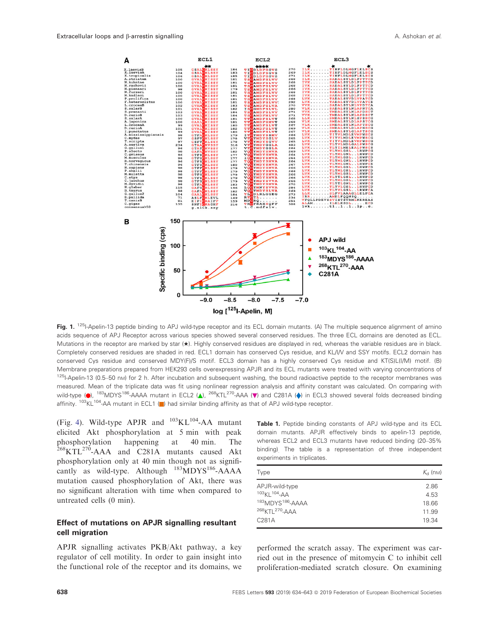

Fig. 1. <sup>125</sup>I-Apelin-13 peptide binding to APJ wild-type receptor and its ECL domain mutants. (A) The multiple sequence alignment of amino acids sequence of APJ Receptor across various species showed several conserved residues. The three ECL domains are denoted as ECL. Mutations in the receptor are marked by star (★). Highly conserved residues are displayed in red, whereas the variable residues are in black. Completely conserved residues are shaded in red. ECL1 domain has conserved Cys residue, and KL/I/V and SSY motifs. ECL2 domain has conserved Cys residue and conserved MDY(F)/S motif. ECL3 domain has a highly conserved Cys residue and KT(S)L(I/M) motif. (B) Membrane preparations prepared from HEK293 cells overexpressing APJR and its ECL mutants were treated with varying concentrations of  $125$ I-Apelin-13 (0.5–50 nm) for 2 h. After incubation and subsequent washing, the bound radioactive peptide to the receptor membranes was measured. Mean of the triplicate data was fit using nonlinear regression analysis and affinity constant was calculated. On comparing with wild-type (**e**),  $^{183}$ MDYS<sup>186</sup>-AAAA mutant in ECL2 (A),  $^{268}$ KTL<sup>270</sup>-AAA ( $\blacktriangledown$ ) and C281A ( $\blacklozenge$ ) in ECL3 showed several folds decreased binding affinity. <sup>103</sup>KL<sup>104</sup>-AA mutant in ECL1 (**b**) had similar binding affinity as that of APJ wild-type receptor.

(Fig. 4). Wild-type APJR and  $^{103}KL^{104}$ -AA mutant elicited Akt phosphorylation at 5 min with peak phosphorylation happening at 40 min. The <sup>268</sup>KTL<sup>270</sup>-AAA and C281A mutants caused Akt phosphorylation only at 40 min though not as significantly as wild-type. Although  $^{183}$ MDYS<sup>186</sup>-AAAA mutation caused phosphorylation of Akt, there was no significant alteration with time when compared to untreated cells (0 min).

### Effect of mutations on APJR signalling resultant cell migration

APJR signalling activates PKB/Akt pathway, a key regulator of cell motility. In order to gain insight into the functional role of the receptor and its domains, we Table 1. Peptide binding constants of APJ wild-type and its ECL domain mutants. APJR effectively binds to apelin-13 peptide, whereas ECL2 and ECL3 mutants have reduced binding (20–35% binding). The table is a representation of three independent experiments in triplicates.

| $K_{\rm d}$ (nm) |
|------------------|
| 2.86             |
| 4.53             |
| 18.66            |
| 11.99            |
| 19.34            |
|                  |

performed the scratch assay. The experiment was carried out in the presence of mitomycin C to inhibit cell proliferation-mediated scratch closure. On examining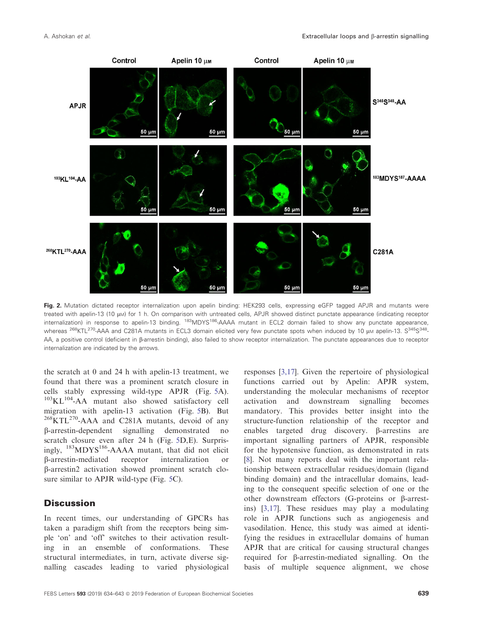

Fig. 2. Mutation dictated receptor internalization upon apelin binding: HEK293 cells, expressing eGFP tagged APJR and mutants were treated with apelin-13 (10 µM) for 1 h. On comparison with untreated cells, APJR showed distinct punctate appearance (indicating receptor internalization) in response to apelin-13 binding. <sup>183</sup>MDYS<sup>186</sup>-AAAA mutant in ECL2 domain failed to show any punctate appearance, whereas <sup>268</sup>KTL<sup>270</sup>-AAA and C281A mutants in ECL3 domain elicited very few punctate spots when induced by 10 µm apelin-13. S<sup>345</sup>S<sup>348</sup>-AA, a positive control (deficient in ß-arrestin binding), also failed to show receptor internalization. The punctate appearances due to receptor internalization are indicated by the arrows.

the scratch at 0 and 24 h with apelin-13 treatment, we found that there was a prominent scratch closure in cells stably expressing wild-type APJR (Fig. 5A).  $103$ KL $104$ -AA mutant also showed satisfactory cell migration with apelin-13 activation (Fig. 5B). But <sup>268</sup>KTL<sup>270</sup>-AAA and C281A mutants, devoid of any b-arrestin-dependent signalling demonstrated no scratch closure even after 24 h (Fig. 5D,E). Surprisingly, <sup>183</sup>MDYS186-AAAA mutant, that did not elicit b-arrestin-mediated receptor internalization or b-arrestin2 activation showed prominent scratch closure similar to APJR wild-type (Fig. 5C).

# **Discussion**

In recent times, our understanding of GPCRs has taken a paradigm shift from the receptors being simple 'on' and 'off' switches to their activation resulting in an ensemble of conformations. These structural intermediates, in turn, activate diverse signalling cascades leading to varied physiological

responses [3,17]. Given the repertoire of physiological functions carried out by Apelin: APJR system, understanding the molecular mechanisms of receptor activation and downstream signalling becomes mandatory. This provides better insight into the structure-function relationship of the receptor and enables targeted drug discovery. B-arrestins are important signalling partners of APJR, responsible for the hypotensive function, as demonstrated in rats [8]. Not many reports deal with the important relationship between extracellular residues/domain (ligand binding domain) and the intracellular domains, leading to the consequent specific selection of one or the other downstream effectors (G-proteins or  $\beta$ -arrestins) [3,17]. These residues may play a modulating role in APJR functions such as angiogenesis and vasodilation. Hence, this study was aimed at identifying the residues in extracellular domains of human APJR that are critical for causing structural changes required for  $\beta$ -arrestin-mediated signalling. On the basis of multiple sequence alignment, we chose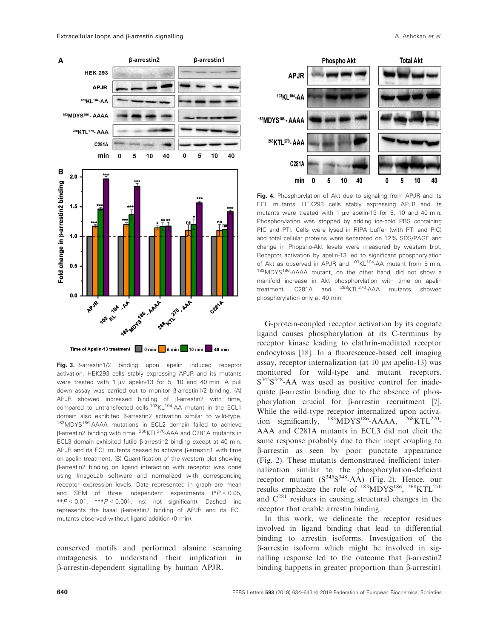

Fig. 3. β-arrestin1/2 binding upon apelin induced receptor activation. HEK293 cells stably expressing APJR and its mutants were treated with 1  $\mu$ M apelin-13 for 5, 10 and 40 min. A pull down assay was carried out to monitor  $\beta$ -arrestin1/2 binding. (A) APJR showed increased binding of  $\beta$ -arrestin2 with time, compared to untransfected cells.<sup>103</sup>KL<sup>104</sup>-AA mutant in the ECL1 domain also exhibited β-arrestin2 activation similar to wild-type. <sup>183</sup>MDYS186-AAAA mutations in ECL2 domain failed to achieve b-arrestin2 binding with time. <sup>268</sup>KTL270-AAA and C281A mutants in ECL3 domain exhibited futile β-arrestin2 binding except at 40 min. APJR and its ECL mutants ceased to activate  $\beta$ -arrestin1 with time on apelin treatment. (B) Quantification of the western blot showing b-arrestin2 binding on ligand interaction with receptor was done using ImageLab software and normalized with corresponding receptor expression levels. Data represented in graph are mean and SEM of three independent experiments  $(*P < 0.05,$  $*P < 0.01$ ,  $*P < 0.001$ , ns: not significant). Dashed line represents the basal b-arrestin2 binding of APJR and its ECL mutants observed without ligand addition (0 min).

conserved motifs and performed alanine scanning mutagenesis to understand their implication in b-arrestin-dependent signalling by human APJR.



Fig. 4. Phosphorylation of Akt due to signaling from APJR and its ECL mutants. HEK293 cells stably expressing APJR and its mutants were treated with 1  $\mu$ M apelin-13 for 5, 10 and 40 min. Phosphorylation was stopped by adding ice-cold PBS containing PIC and PTI. Cells were lysed in RIPA buffer (with PTI and PIC) and total cellular proteins were separated on 12% SDS/PAGE and change in Phopsho-Akt levels were measured by western blot. Receptor activation by apelin-13 led to significant phosphorylation of Akt as observed in APJR and <sup>103</sup>KL<sup>104</sup>-AA mutant from 5 min. 183MDYS<sup>186</sup>-AAAA mutant, on the other hand, did not show a manifold increase in Akt phosphorylation with time on apelin treatment. C281A and <sup>268</sup>KTL<sup>270</sup>-AAA mutants showed phosphorylation only at 40 min.

G-protein-coupled receptor activation by its cognate ligand causes phosphorylation at its C-terminus by receptor kinase leading to clathrin-mediated receptor endocytosis [18]. In a fluorescence-based cell imaging assay, receptor internalization (at  $10 \mu$ M apelin-13) was monitored for wild-type and mutant receptors. S<sup>345</sup>S<sup>348</sup>-AA was used as positive control for inadequate  $\beta$ -arrestin binding due to the absence of phosphorylation crucial for  $\beta$ -arrestin recruitment [7]. While the wild-type receptor internalized upon activation significantly,  $^{183}$ MDYS<sup>186</sup>-AAAA,  $^{268}$ KTL<sup>270</sup>-AAA and C281A mutants in ECL3 did not elicit the same response probably due to their inept coupling to b-arrestin as seen by poor punctate appearance (Fig. 2). These mutants demonstrated inefficient internalization similar to the phosphorylation-deficient receptor mutant  $(S^{345}S^{348}-AA)$  (Fig. 2). Hence, our results emphasize the role of  $^{183}$ MDYS<sup>186</sup>,  $^{268}$ KTL<sup>270</sup> and  $C^{281}$  residues in causing structural changes in the receptor that enable arrestin binding.

In this work, we delineate the receptor residues involved in ligand binding that lead to differential binding to arrestin isoforms. Investigation of the b-arrestin isoform which might be involved in signalling response led to the outcome that  $\beta$ -arrestin2 binding happens in greater proportion than  $\beta$ -arrestin1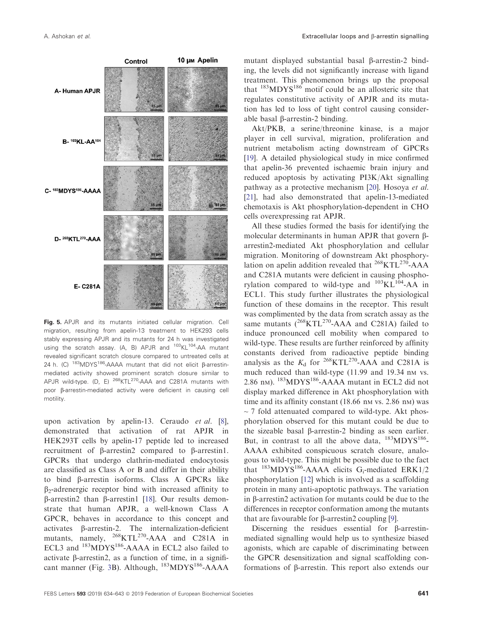

Fig. 5. APJR and its mutants initiated cellular migration. Cell migration, resulting from apelin-13 treatment to HEK293 cells stably expressing APJR and its mutants for 24 h was investigated using the scratch assay. (A, B) APJR and <sup>103</sup>KL<sup>104</sup>-AA mutant revealed significant scratch closure compared to untreated cells at 24 h. (C)  $183 \text{MDYS}$ <sup>186</sup>-AAAA mutant that did not elicit  $\beta$ -arrestinmediated activity showed prominent scratch closure similar to APJR wild-type.  $(D, E)$  <sup>268</sup>KTL<sup>270</sup>-AAA and C281A mutants with poor ß-arrestin-mediated activity were deficient in causing cell motility.

upon activation by apelin-13. Ceraudo et al. [8], demonstrated that activation of rat APJR in HEK293T cells by apelin-17 peptide led to increased recruitment of b-arrestin2 compared to b-arrestin1. GPCRs that undergo clathrin-mediated endocytosis are classified as Class A or B and differ in their ability to bind b-arrestin isoforms. Class A GPCRs like  $\beta_2$ -adrenergic receptor bind with increased affinity to  $\beta$ -arrestin2 than  $\beta$ -arrestin1 [18]. Our results demonstrate that human APJR, a well-known Class A GPCR, behaves in accordance to this concept and activates b-arrestin-2. The internalization-deficient mutants, namely,  $^{268}$ KTL<sup>270</sup>-AAA and C281A in ECL3 and <sup>183</sup>MDYS<sup>186</sup>-AAAA in ECL2 also failed to activate  $\beta$ -arrestin2, as a function of time, in a significant manner (Fig. 3B). Although, <sup>183</sup>MDYS<sup>186</sup>-AAAA

mutant displayed substantial basal  $\beta$ -arrestin-2 binding, the levels did not significantly increase with ligand treatment. This phenomenon brings up the proposal that  $183MDYS186$  motif could be an allosteric site that regulates constitutive activity of APJR and its mutation has led to loss of tight control causing considerable basal  $\beta$ -arrestin-2 binding.

Akt/PKB, a serine/threonine kinase, is a major player in cell survival, migration, proliferation and nutrient metabolism acting downstream of GPCRs [19]. A detailed physiological study in mice confirmed that apelin-36 prevented ischaemic brain injury and reduced apoptosis by activating PI3K/Akt signalling pathway as a protective mechanism [20]. Hosoya et al. [21], had also demonstrated that apelin-13-mediated chemotaxis is Akt phosphorylation-dependent in CHO cells overexpressing rat APJR.

All these studies formed the basis for identifying the molecular determinants in human APJR that govern βarrestin2-mediated Akt phosphorylation and cellular migration. Monitoring of downstream Akt phosphorylation on apelin addition revealed that  $^{268}$ KTL<sup>270</sup>-AAA and C281A mutants were deficient in causing phosphorylation compared to wild-type and  $^{103}KL^{104}-AA$  in ECL1. This study further illustrates the physiological function of these domains in the receptor. This result was complimented by the data from scratch assay as the same mutants  $(^{268}KTL^{270}$ -AAA and C281A) failed to induce pronounced cell mobility when compared to wild-type. These results are further reinforced by affinity constants derived from radioactive peptide binding analysis as the  $K_d$  for <sup>268</sup>KTL<sup>270</sup>-AAA and C281A is much reduced than wild-type (11.99 and 19.34 nm vs. 2.86 nM). <sup>183</sup>MDYS186-AAAA mutant in ECL2 did not display marked difference in Akt phosphorylation with time and its affinity constant  $(18.66 \text{ nm vs. } 2.86 \text{ nm})$  was  $\sim$  7 fold attenuated compared to wild-type. Akt phosphorylation observed for this mutant could be due to the sizeable basal  $\beta$ -arrestin-2 binding as seen earlier. But, in contrast to all the above data,  $^{183}MDYS^{186}$ -AAAA exhibited conspicuous scratch closure, analogous to wild-type. This might be possible due to the fact that  $^{183}$ MDYS<sup>186</sup>-AAAA elicits G<sub>i</sub>-mediated ERK1/2 phosphorylation [12] which is involved as a scaffolding protein in many anti-apoptotic pathways. The variation in  $\beta$ -arrestin2 activation for mutants could be due to the differences in receptor conformation among the mutants that are favourable for  $\beta$ -arrestin2 coupling [9].

Discerning the residues essential for  $\beta$ -arrestinmediated signalling would help us to synthesize biased agonists, which are capable of discriminating between the GPCR desensitization and signal scaffolding conformations of b-arrestin. This report also extends our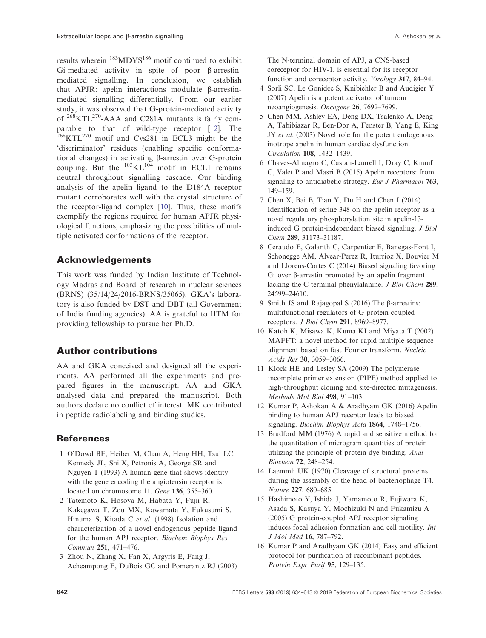results wherein <sup>183</sup>MDYS<sup>186</sup> motif continued to exhibit Gi-mediated activity in spite of poor  $\beta$ -arrestinmediated signalling. In conclusion, we establish that APJR: apelin interactions modulate  $\beta$ -arrestinmediated signalling differentially. From our earlier study, it was observed that G-protein-mediated activity of  $268$ KTL<sup>270</sup>-AAA and C281A mutants is fairly comparable to that of wild-type receptor [12]. The  $^{268}$ KTL<sup>270</sup> motif and Cys281 in ECL3 might be the 'discriminator' residues (enabling specific conformational changes) in activating  $\beta$ -arrestin over G-protein coupling. But the  $^{103}KL^{104}$  motif in ECL1 remains neutral throughout signalling cascade. Our binding analysis of the apelin ligand to the D184A receptor mutant corroborates well with the crystal structure of the receptor-ligand complex [10]. Thus, these motifs exemplify the regions required for human APJR physiological functions, emphasizing the possibilities of multiple activated conformations of the receptor.

# Acknowledgements

This work was funded by Indian Institute of Technology Madras and Board of research in nuclear sciences (BRNS) (35/14/24/2016-BRNS/35065). GKA's laboratory is also funded by DST and DBT (all Government of India funding agencies). AA is grateful to IITM for providing fellowship to pursue her Ph.D.

# Author contributions

AA and GKA conceived and designed all the experiments. AA performed all the experiments and prepared figures in the manuscript. AA and GKA analysed data and prepared the manuscript. Both authors declare no conflict of interest. MK contributed in peptide radiolabeling and binding studies.

## References

- 1 O'Dowd BF, Heiber M, Chan A, Heng HH, Tsui LC, Kennedy JL, Shi X, Petronis A, George SR and Nguyen T (1993) A human gene that shows identity with the gene encoding the angiotensin receptor is located on chromosome 11. Gene 136, 355–360.
- 2 Tatemoto K, Hosoya M, Habata Y, Fujii R, Kakegawa T, Zou MX, Kawamata Y, Fukusumi S, Hinuma S, Kitada C et al. (1998) Isolation and characterization of a novel endogenous peptide ligand for the human APJ receptor. Biochem Biophys Res Commun 251, 471–476.
- 3 Zhou N, Zhang X, Fan X, Argyris E, Fang J, Acheampong E, DuBois GC and Pomerantz RJ (2003)

The N-terminal domain of APJ, a CNS-based coreceptor for HIV-1, is essential for its receptor function and coreceptor activity. *Virology* 317, 84–94.

- 4 Sorli SC, Le Gonidec S, Knibiehler B and Audigier Y (2007) Apelin is a potent activator of tumour neoangiogenesis. Oncogene 26, 7692–7699.
- 5 Chen MM, Ashley EA, Deng DX, Tsalenko A, Deng A, Tabibiazar R, Ben-Dor A, Fenster B, Yang E, King JY et al. (2003) Novel role for the potent endogenous inotrope apelin in human cardiac dysfunction. Circulation 108, 1432–1439.
- 6 Chaves-Almagro C, Castan-Laurell I, Dray C, Knauf C, Valet P and Masri B (2015) Apelin receptors: from signaling to antidiabetic strategy. Eur J Pharmacol 763, 149–159.
- 7 Chen X, Bai B, Tian Y, Du H and Chen J (2014) Identification of serine 348 on the apelin receptor as a novel regulatory phosphorylation site in apelin-13 induced G protein-independent biased signaling. J Biol Chem 289, 31173–31187.
- 8 Ceraudo E, Galanth C, Carpentier E, Banegas-Font I, Schonegge AM, Alvear-Perez R, Iturrioz X, Bouvier M and Llorens-Cortes C (2014) Biased signaling favoring Gi over b-arrestin promoted by an apelin fragment lacking the C-terminal phenylalanine. J Biol Chem 289, 24599–24610.
- 9 Smith JS and Rajagopal S (2016) The B-arrestins: multifunctional regulators of G protein-coupled receptors. J Biol Chem 291, 8969–8977.
- 10 Katoh K, Misawa K, Kuma KI and Miyata T (2002) MAFFT: a novel method for rapid multiple sequence alignment based on fast Fourier transform. Nucleic Acids Res 30, 3059–3066.
- 11 Klock HE and Lesley SA (2009) The polymerase incomplete primer extension (PIPE) method applied to high-throughput cloning and site-directed mutagenesis. Methods Mol Biol 498, 91–103.
- 12 Kumar P, Ashokan A & Aradhyam GK (2016) Apelin binding to human APJ receptor leads to biased signaling. Biochim Biophys Acta 1864, 1748-1756.
- 13 Bradford MM (1976) A rapid and sensitive method for the quantitation of microgram quantities of protein utilizing the principle of protein-dye binding. Anal Biochem 72, 248–254.
- 14 Laemmli UK (1970) Cleavage of structural proteins during the assembly of the head of bacteriophage T4. Nature 227, 680–685.
- 15 Hashimoto Y, Ishida J, Yamamoto R, Fujiwara K, Asada S, Kasuya Y, Mochizuki N and Fukamizu A (2005) G protein-coupled APJ receptor signaling induces focal adhesion formation and cell motility. Int J Mol Med 16, 787–792.
- 16 Kumar P and Aradhyam GK (2014) Easy and efficient protocol for purification of recombinant peptides. Protein Expr Purif 95, 129-135.